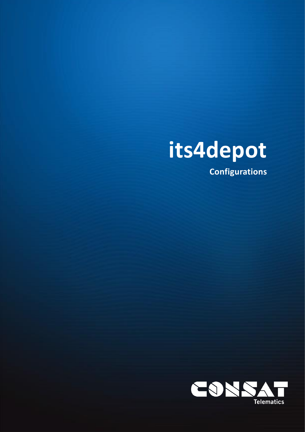

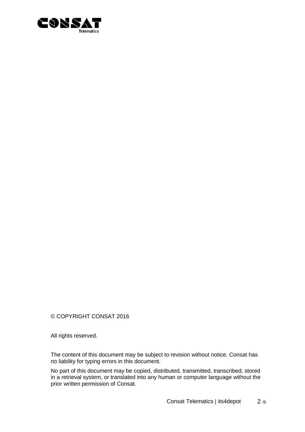

© COPYRIGHT CONSAT 2016

All rights reserved.

The content of this document may be subject to revision without notice. Consat has no liability for typing errors in this document.

No part of this document may be copied, distributed, transmitted, transcribed, stored in a retrieval system, or translated into any human or computer language without the prior written permission of Consat.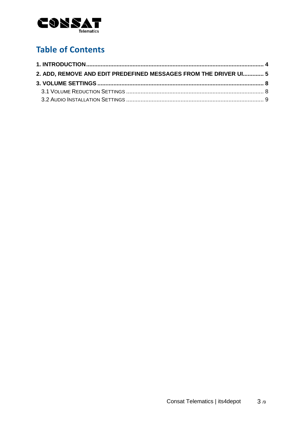

# **Table of Contents**

| 2. ADD, REMOVE AND EDIT PREDEFINED MESSAGES FROM THE DRIVER UI 5 |  |
|------------------------------------------------------------------|--|
|                                                                  |  |
|                                                                  |  |
|                                                                  |  |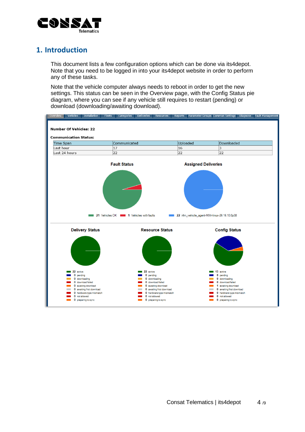

### <span id="page-3-0"></span>**1. Introduction**

This document lists a few configuration options which can be done via its4depot. Note that you need to be logged in into your its4depot website in order to perform any of these tasks.

Note that the vehicle computer always needs to reboot in order to get the new settings. This status can be seen in the Overview page, with the Config Status pie diagram, where you can see if any vehicle still requires to restart (pending) or download (downloading/awaiting download).

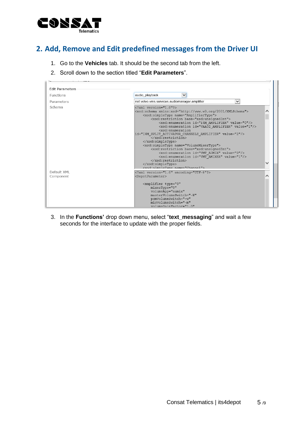

### <span id="page-4-0"></span>**2. Add, Remove and Edit predefined messages from the Driver UI**

- 1. Go to the **Vehicles** tab. It should be the second tab from the left.
- 2. Scroll down to the section titled "**Edit Parameters**".



3. In the **Functions'** drop down menu, select "**text\_messaging**" and wait a few seconds for the interface to update with the proper fields.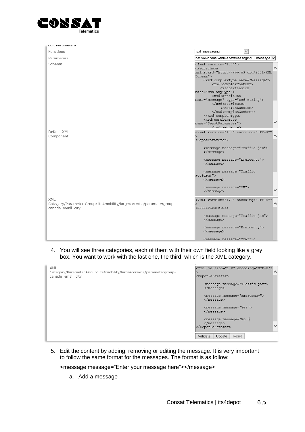

| Luit raianieteis         |                                                                                                                                                                                                                                                                                                                                                                                                                                                                                                                                                                                                                           |
|--------------------------|---------------------------------------------------------------------------------------------------------------------------------------------------------------------------------------------------------------------------------------------------------------------------------------------------------------------------------------------------------------------------------------------------------------------------------------------------------------------------------------------------------------------------------------------------------------------------------------------------------------------------|
| Functions                | $\overline{\mathsf{v}}$<br>text_messaging                                                                                                                                                                                                                                                                                                                                                                                                                                                                                                                                                                                 |
| Parameters               | net.volvo.vms.vehicle.textmessaging.ui.message                                                                                                                                                                                                                                                                                                                                                                                                                                                                                                                                                                            |
| Schema                   | $\overline{\text{ version="1.0"?>xmlns:xsd="http://www.w3.org/2001/XMLSchema">$                                                                                                                                                                                                                                                                                                                                                                                                                                                                                                                                           |
|                          | base="xsd:anyType"><br><xsd:attribute<br>name="message" type="xsd:string"&gt;<br/><br/><br/><br/><br/><xsd:complextype<br>name="DepotParameter"&gt;<br/><xsd.sequence></xsd.sequence></xsd:complextype<br></xsd:attribute<br>                                                                                                                                                                                                                                                                                                                                                                                             |
| Default XML<br>Component | xml version="1.0" encoding="UTF-8"?<br <depotparameter><br/><message message="Traffic jam"><br/><math>&lt;</math>/message&gt;<br/><message message="Emergency"><br/><math>\langle</math>/message&gt;<br/><message message="Traffic&lt;/td&gt;&lt;/tr&gt;&lt;tr&gt;&lt;td&gt;&lt;b&gt;XML&lt;/b&gt;&lt;br&gt;Category/Parameter Group: its4mobility/large/core/na/parametergroup-&lt;/td&gt;&lt;td&gt;accident"><br/><math>&lt;</math>/message&gt;<br/><message message="OK"><br/><math>\langle</math>/message&gt;<br/><?xml version="1.0" encoding="UTF-8"?</td></message></message></message></message></depotparameter> |
| canada small city        | <depotparameter><br/><message message="Traffic jam"><br/><math>\langle</math>/message&gt;<br/><message message="Emergency"><br/><math>&lt;</math>/message&gt;<br/>&lt;message message="Traffic&lt;/td&gt;</message></message></depotparameter>                                                                                                                                                                                                                                                                                                                                                                            |

4. You will see three categories, each of them with their own field looking like a grey box. You want to work with the last one, the third, which is the XML category.

| XML<br>Category/Parameter Group: its4mobility/large/core/na/parametergroup-<br>canada small city | xml version="1.0" encoding="UTF-8"?<br ⌒<br><depotparameter></depotparameter>  |
|--------------------------------------------------------------------------------------------------|--------------------------------------------------------------------------------|
|                                                                                                  | <message message="Traffic jam"><br/><math>\langle</math>/message&gt;</message> |
|                                                                                                  | <message message="Emergency"><br/><math>\langle</math>/message&gt;</message>   |
|                                                                                                  | <message message="Yes"><br/><math>\langle</math>/message&gt;</message>         |
|                                                                                                  | $<$ message message="No"><br>$\langle$ /message><br>$\checkmark$<br>           |
|                                                                                                  | Validate<br>Update<br>Reset                                                    |

5. Edit the content by adding, removing or editing the message. It is very important to follow the same format for the messages. The format is as follow:

<message message="Enter your message here"></message>

a. Add a message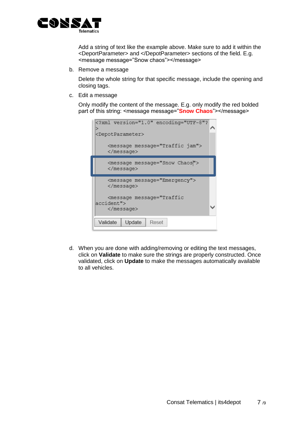

Add a string of text like the example above. Make sure to add it within the <DeportParameter> and </DepotParameter> sections of the field. E.g. <message message="Snow chaos"></message>

b. Remove a message

Delete the whole string for that specific message, include the opening and closing tags.

c. Edit a message

Only modify the content of the message. E.g. only modify the red bolded part of this string: <message message="**Snow Chaos**"></message>

| xml version="1.0" encoding="UTF-8"?</th <th></th>                           |  |
|-----------------------------------------------------------------------------|--|
| <depotparameter></depotparameter>                                           |  |
| <message message="Traffic jam"><br/><math>&lt;</math>/message&gt;</message> |  |
| <message message="Snow Chaos"><br/><math>&lt;</math>/message&gt;</message>  |  |
|                                                                             |  |
| <message message="Emergency"><br/><math>&lt;</math>/message&gt;</message>   |  |
| <message message="Traffic&lt;br&gt;accident"></message>                     |  |
| $\langle$ /message>                                                         |  |

d. When you are done with adding/removing or editing the text messages, click on **Validate** to make sure the strings are properly constructed. Once validated, click on **Update** to make the messages automatically available to all vehicles.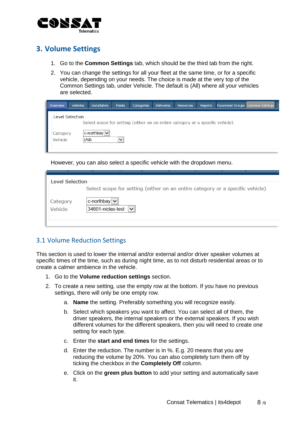

## <span id="page-7-0"></span>**3. Volume Settings**

- 1. Go to the **Common Settings** tab, which should be the third tab from the right.
- 2. You can change the settings for all your fleet at the same time, or for a specific vehicle, depending on your needs. The choice is made at the very top of the Common Settings tab, under Vehicle. The default is (All) where all your vehicles are selected.

| Overview | <b>Vehicles</b> | <b>Installation</b>                                                           | Fleets       | Categories | <b>Deliveries</b> | <b>Resources</b> | Reports | Parameter Groups Common Settings |  |  |  |
|----------|-----------------|-------------------------------------------------------------------------------|--------------|------------|-------------------|------------------|---------|----------------------------------|--|--|--|
|          | evel Selection  |                                                                               |              |            |                   |                  |         |                                  |  |  |  |
|          |                 | Select scope for setting (either on an entire category or a specific vehicle) |              |            |                   |                  |         |                                  |  |  |  |
| Category |                 | c-northbay  <b>∨</b>                                                          |              |            |                   |                  |         |                                  |  |  |  |
| Vehicle  | (All)           |                                                                               | $\checkmark$ |            |                   |                  |         |                                  |  |  |  |
|          |                 |                                                                               |              |            |                   |                  |         |                                  |  |  |  |

However, you can also select a specific vehicle with the dropdown menu.

| Level Selection |                                                                               |
|-----------------|-------------------------------------------------------------------------------|
|                 | Select scope for setting (either on an entire category or a specific vehicle) |
|                 |                                                                               |
| Category        | c-northbay $ v $                                                              |
| Vehicle         | 34601-niclas-test<br>$\checkmark$                                             |
|                 |                                                                               |
|                 |                                                                               |

#### <span id="page-7-1"></span>3.1 Volume Reduction Settings

This section is used to lower the internal and/or external and/or driver speaker volumes at specific times of the time, such as during night time, as to not disturb residential areas or to create a calmer ambience in the vehicle.

- 1. Go to the **Volume reduction settings** section.
- 2. To create a new setting, use the empty row at the bottom. If you have no previous settings, there will only be one empty row.
	- a. **Name** the setting. Preferably something you will recognize easily.
	- b. Select which speakers you want to affect. You can select all of them, the driver speakers, the internal speakers or the external speakers. If you wish different volumes for the different speakers, then you will need to create one setting for each type.
	- c. Enter the **start and end times** for the settings.
	- d. Enter the reduction. The number is in %. E.g. 20 means that you are reducing the volume by 20%. You can also completely turn them off by ticking the checkbox in the **Completely Off** column.
	- e. Click on the **green plus button** to add your setting and automatically save it.